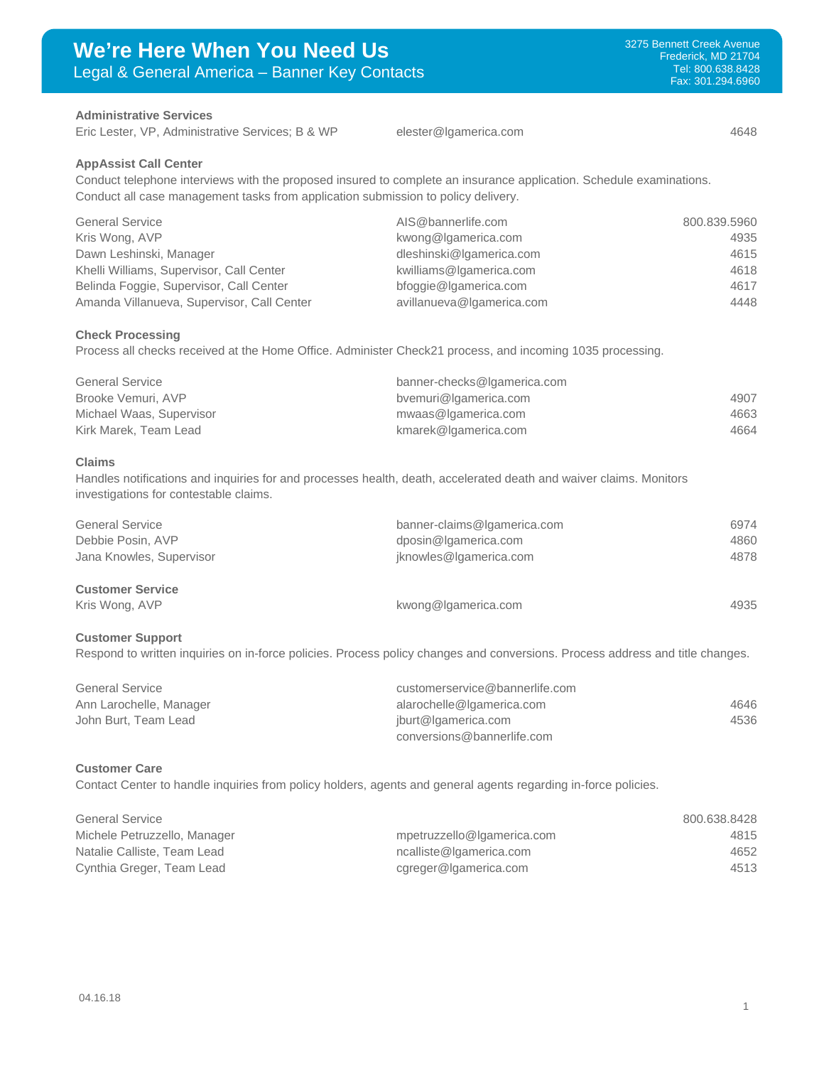# **Administrative Services**

Eric Lester, VP, Administrative Services; B & WP [elester@lgamerica.com](mailto:elester@lgamerica.com) 4648

#### **AppAssist Call Center**

Conduct telephone interviews with the proposed insured to complete an insurance application. Schedule examinations. Conduct all case management tasks from application submission to policy delivery.

| <b>General Service</b>                     | AIS@bannerlife.com        | 800.839.5960 |
|--------------------------------------------|---------------------------|--------------|
| Kris Wong, AVP                             | kwong@lgamerica.com       | 4935         |
| Dawn Leshinski, Manager                    | dleshinski@lgamerica.com  | 4615         |
| Khelli Williams, Supervisor, Call Center   | kwilliams@lgamerica.com   | 4618         |
| Belinda Foggie, Supervisor, Call Center    | bfoggie@lgamerica.com     | 4617         |
| Amanda Villanueva, Supervisor, Call Center | avillanueva@lgamerica.com | 4448         |

### **Check Processing**

Process all checks received at the Home Office. Administer Check21 process, and incoming 1035 processing.

| <b>General Service</b>   | banner-checks@lgamerica.com |      |
|--------------------------|-----------------------------|------|
| Brooke Vemuri, AVP       | bvemuri@lgamerica.com       | 4907 |
| Michael Waas, Supervisor | mwaas@lgamerica.com         | 4663 |
| Kirk Marek, Team Lead    | kmarek@lgamerica.com        | 4664 |

#### **Claims**

Handles notifications and inquiries for and processes health, death, accelerated death and waiver claims. Monitors investigations for contestable claims.

| <b>General Service</b><br>Debbie Posin, AVP | banner-claims@lgamerica.com<br>dposin@lgamerica.com | 6974<br>4860 |
|---------------------------------------------|-----------------------------------------------------|--------------|
| Jana Knowles, Supervisor                    | jknowles@lgamerica.com                              | 4878         |
| <b>Customer Service</b>                     |                                                     |              |

# Kris Wong, AVP **1998 KWong@lgamerica.com** 4935

# **Customer Support**

Respond to written inquiries on in-force policies. Process policy changes and conversions. Process address and title changes.

| <b>General Service</b>  | customerservice@bannerlife.com |      |
|-------------------------|--------------------------------|------|
| Ann Larochelle, Manager | alarochelle@lgamerica.com      | 4646 |
| John Burt. Team Lead    | jburt@lgamerica.com            | 4536 |
|                         | conversions@bannerlife.com     |      |

#### **Customer Care**

Contact Center to handle inquiries from policy holders, agents and general agents regarding in-force policies.

| <b>General Service</b>       |                            | 800.638.8428 |
|------------------------------|----------------------------|--------------|
| Michele Petruzzello, Manager | mpetruzzello@lgamerica.com | 4815         |
| Natalie Calliste, Team Lead  | ncalliste@lgamerica.com    | 4652         |
| Cynthia Greger, Team Lead    | cgreger@lgamerica.com      | 4513         |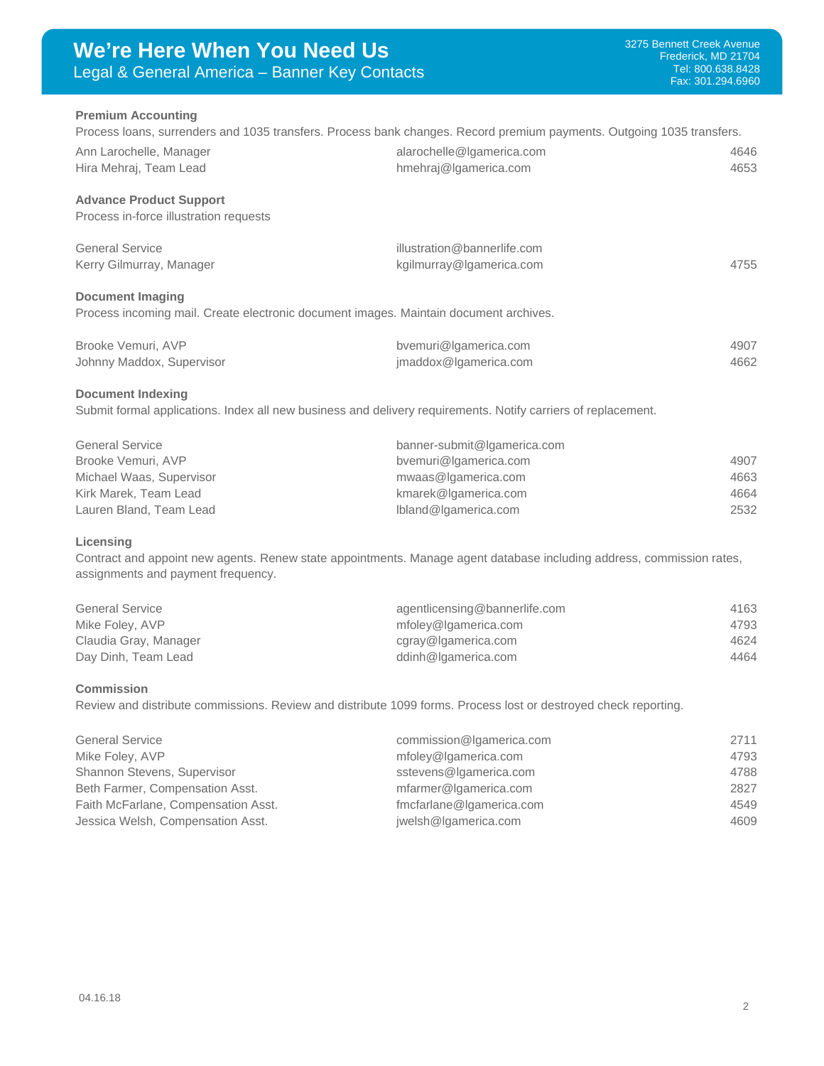#### **Premium Accounting**

Process loans, surrenders and 1035 transfers. Process bank changes. Record premium payments. Outgoing 1035 transfers. Ann Larochelle, Manager and Communication alarochelle@lgamerica.com 4646 Hira Mehraj, Team Lead **[hmehraj@lgamerica.com](mailto:hmehraj@lgamerica.com)** hmehraj@lgamerica.com 4653

# **Advance Product Support**

Process in-force illustration requests

| <b>General Service</b>   | illustration@bannerlife.com |      |
|--------------------------|-----------------------------|------|
| Kerry Gilmurray, Manager | kgilmurray@lgamerica.com    | 4755 |

## **Document Imaging**

Process incoming mail. Create electronic document images. Maintain document archives.

| Brooke Vemuri, AVP        | bvemuri@Igamerica.com | 4907 |
|---------------------------|-----------------------|------|
| Johnny Maddox, Supervisor | imaddox@lgamerica.com | 4662 |

#### **Document Indexing**

Submit formal applications. Index all new business and delivery requirements. Notify carriers of replacement.

| <b>General Service</b>   | banner-submit@lgamerica.com |      |
|--------------------------|-----------------------------|------|
| Brooke Vemuri, AVP       | bvemuri@lgamerica.com       | 4907 |
| Michael Waas, Supervisor | mwaas@lgamerica.com         | 4663 |
| Kirk Marek, Team Lead    | kmarek@lgamerica.com        | 4664 |
| Lauren Bland, Team Lead  | Ibland@Igamerica.com        | 2532 |

#### **Licensing**

Contract and appoint new agents. Renew state appointments. Manage agent database including address, commission rates, assignments and payment frequency.

| <b>General Service</b> | agentlicensing@bannerlife.com | 4163 |
|------------------------|-------------------------------|------|
| Mike Foley, AVP        | mfoley@lgamerica.com          | 4793 |
| Claudia Gray, Manager  | cgray@Igamerica.com           | 4624 |
| Day Dinh, Team Lead    | ddinh@lgamerica.com           | 4464 |

#### **Commission**

Review and distribute commissions. Review and distribute 1099 forms. Process lost or destroyed check reporting.

| <b>General Service</b>              | commission@Igamerica.com | 2711 |
|-------------------------------------|--------------------------|------|
| Mike Foley, AVP                     | mfoley@lgamerica.com     | 4793 |
| Shannon Stevens, Supervisor         | sstevens@lgamerica.com   | 4788 |
| Beth Farmer, Compensation Asst.     | mfarmer@lgamerica.com    | 2827 |
| Faith McFarlane, Compensation Asst. | fmcfarlane@lgamerica.com | 4549 |
| Jessica Welsh, Compensation Asst.   | jwelsh@Igamerica.com     | 4609 |
|                                     |                          |      |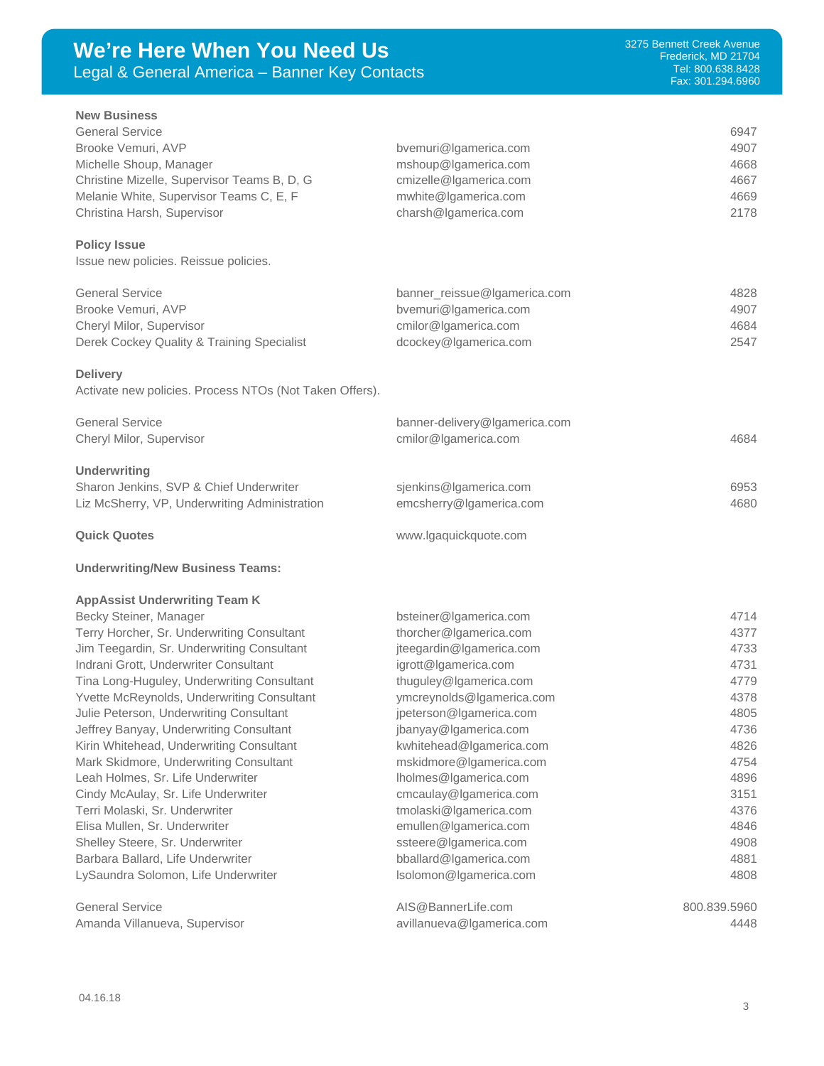| We're Here When You Need Us<br>Legal & General America - Banner Key Contacts                                                                                                                                                                                                                                                                                                                                                                                                                                                                                                                                                                                                                                                              |                                                                                                                                                                                                                                                                                                                                                                                                                                                           | 3275 Bennett Creek Avenue<br>Frederick, MD 21704<br>Tel: 800.638.8428<br>Fax: 301.294.6960                                           |  |
|-------------------------------------------------------------------------------------------------------------------------------------------------------------------------------------------------------------------------------------------------------------------------------------------------------------------------------------------------------------------------------------------------------------------------------------------------------------------------------------------------------------------------------------------------------------------------------------------------------------------------------------------------------------------------------------------------------------------------------------------|-----------------------------------------------------------------------------------------------------------------------------------------------------------------------------------------------------------------------------------------------------------------------------------------------------------------------------------------------------------------------------------------------------------------------------------------------------------|--------------------------------------------------------------------------------------------------------------------------------------|--|
| <b>New Business</b><br><b>General Service</b><br>Brooke Vemuri, AVP<br>Michelle Shoup, Manager<br>Christine Mizelle, Supervisor Teams B, D, G<br>Melanie White, Supervisor Teams C, E, F<br>Christina Harsh, Supervisor                                                                                                                                                                                                                                                                                                                                                                                                                                                                                                                   | bvemuri@lgamerica.com<br>mshoup@lgamerica.com<br>cmizelle@Igamerica.com<br>mwhite@lgamerica.com<br>charsh@lgamerica.com                                                                                                                                                                                                                                                                                                                                   | 6947<br>4907<br>4668<br>4667<br>4669<br>2178                                                                                         |  |
| <b>Policy Issue</b><br>Issue new policies. Reissue policies.                                                                                                                                                                                                                                                                                                                                                                                                                                                                                                                                                                                                                                                                              |                                                                                                                                                                                                                                                                                                                                                                                                                                                           |                                                                                                                                      |  |
| <b>General Service</b><br>Brooke Vemuri, AVP<br>Cheryl Milor, Supervisor<br>Derek Cockey Quality & Training Specialist<br><b>Delivery</b>                                                                                                                                                                                                                                                                                                                                                                                                                                                                                                                                                                                                 | banner_reissue@lgamerica.com<br>bvemuri@lgamerica.com<br>cmilor@lgamerica.com<br>dcockey@lgamerica.com                                                                                                                                                                                                                                                                                                                                                    | 4828<br>4907<br>4684<br>2547                                                                                                         |  |
| Activate new policies. Process NTOs (Not Taken Offers).<br><b>General Service</b><br>Cheryl Milor, Supervisor                                                                                                                                                                                                                                                                                                                                                                                                                                                                                                                                                                                                                             | banner-delivery@Igamerica.com<br>cmilor@lgamerica.com                                                                                                                                                                                                                                                                                                                                                                                                     | 4684                                                                                                                                 |  |
| <b>Underwriting</b><br>Sharon Jenkins, SVP & Chief Underwriter<br>Liz McSherry, VP, Underwriting Administration<br><b>Quick Quotes</b>                                                                                                                                                                                                                                                                                                                                                                                                                                                                                                                                                                                                    | sjenkins@Igamerica.com<br>emcsherry@lgamerica.com<br>www.lgaquickquote.com                                                                                                                                                                                                                                                                                                                                                                                | 6953<br>4680                                                                                                                         |  |
| <b>Underwriting/New Business Teams:</b>                                                                                                                                                                                                                                                                                                                                                                                                                                                                                                                                                                                                                                                                                                   |                                                                                                                                                                                                                                                                                                                                                                                                                                                           |                                                                                                                                      |  |
| <b>AppAssist Underwriting Team K</b><br>Becky Steiner, Manager<br>Terry Horcher, Sr. Underwriting Consultant<br>Jim Teegardin, Sr. Underwriting Consultant<br>Indrani Grott, Underwriter Consultant<br>Tina Long-Huguley, Underwriting Consultant<br>Yvette McReynolds, Underwriting Consultant<br>Julie Peterson, Underwriting Consultant<br>Jeffrey Banyay, Underwriting Consultant<br>Kirin Whitehead, Underwriting Consultant<br>Mark Skidmore, Underwriting Consultant<br>Leah Holmes, Sr. Life Underwriter<br>Cindy McAulay, Sr. Life Underwriter<br>Terri Molaski, Sr. Underwriter<br>Elisa Mullen, Sr. Underwriter<br>Shelley Steere, Sr. Underwriter<br>Barbara Ballard, Life Underwriter<br>LySaundra Solomon, Life Underwriter | bsteiner@lgamerica.com<br>thorcher@lgamerica.com<br>jteegardin@Igamerica.com<br>igrott@lgamerica.com<br>thuguley@lgamerica.com<br>ymcreynolds@lgamerica.com<br>jpeterson@lgamerica.com<br>jbanyay@lgamerica.com<br>kwhitehead@lgamerica.com<br>mskidmore@lgamerica.com<br>Iholmes@Igamerica.com<br>cmcaulay@lgamerica.com<br>tmolaski@lgamerica.com<br>emullen@Igamerica.com<br>ssteere@lgamerica.com<br>bballard@lgamerica.com<br>Isolomon@Igamerica.com | 4714<br>4377<br>4733<br>4731<br>4779<br>4378<br>4805<br>4736<br>4826<br>4754<br>4896<br>3151<br>4376<br>4846<br>4908<br>4881<br>4808 |  |
| <b>General Service</b><br>Amanda Villanueva, Supervisor                                                                                                                                                                                                                                                                                                                                                                                                                                                                                                                                                                                                                                                                                   | AIS@BannerLife.com<br>avillanueva@lgamerica.com                                                                                                                                                                                                                                                                                                                                                                                                           | 800.839.5960<br>4448                                                                                                                 |  |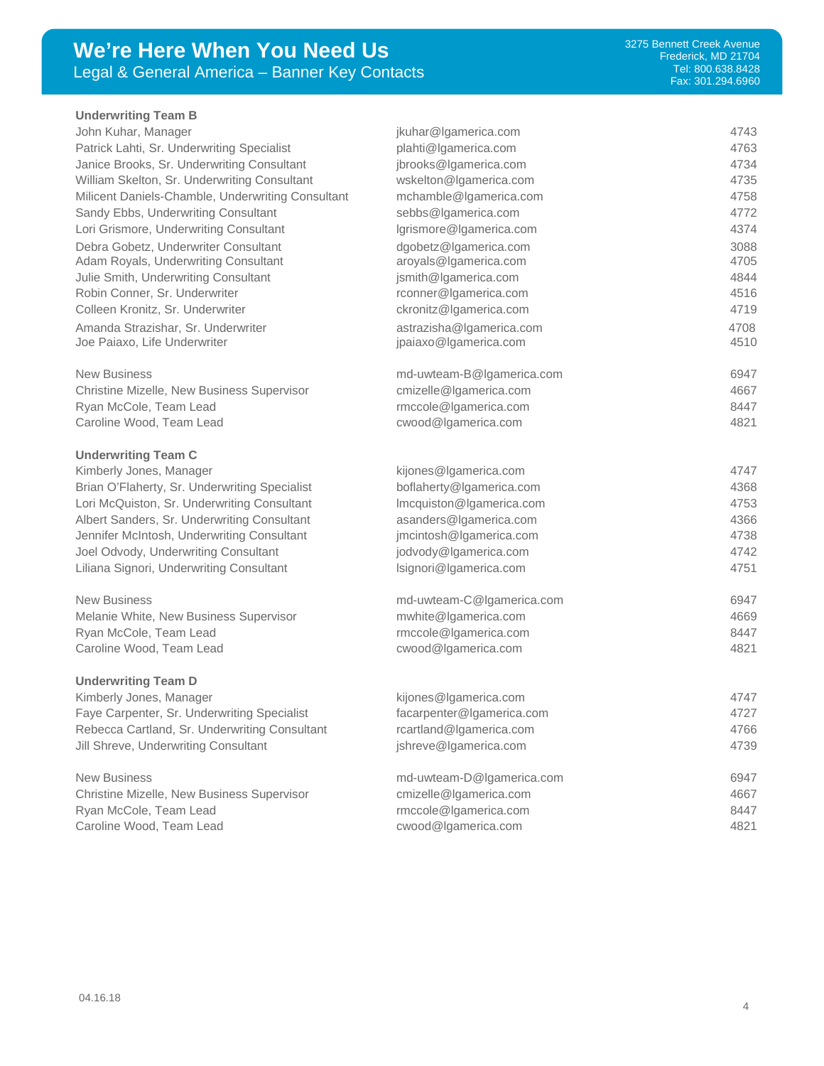# **We're Here When You Need Us** Legal & General America – Banner Key Contacts

#### **Underwriting Team B**

John Kuhar, Manager [jkuhar@lgamerica.com](mailto:jkuhar@lgamerica.com) 4743 Patrick Lahti, Sr. Underwriting Specialist **[plahti@lgamerica.com](mailto:plahti@lgamerica.com)** and the state of the 4763 Janice Brooks, Sr. Underwriting Consultant interventional prooks@lgamerica.com and 4734 William Skelton, Sr. Underwriting Consultant [wskelton@lgamerica.com](mailto:wskelton@lgamerica.com) 4735 Milicent Daniels-Chamble, Underwriting Consultant [mchamble@lgamerica.com](mailto:mchamble@lgamerica.com) 4758 Sandy Ebbs, Underwriting Consultant sebbs @lgamerica.com 4772 Lori Grismore, Underwriting Consultant and According the University of According the Music According Consultant Debra Gobetz, Underwriter Consultant debra [dgobetz@lgamerica.com](mailto:dgobetz@lgamerica.com) 3088 Adam Royals, Underwriting Consultant around [aroyals@lgamerica.com](mailto:aroyals@lgamerica.com) 4705 Julie Smith, Underwriting Consultant ismith@lgamerica.com 4844 Robin Conner, Sr. Underwriter and the conner@lgamerica.com and the 4516 Colleen Kronitz, Sr. Underwriter [ckronitz@lgamerica.com](mailto:ckronitz@lgamerica.com) 4719 Amanda Strazishar, Sr. Underwriter [astrazisha@lgamerica.com](mailto:astrazisha@lgamerica.com) 4708 Joe Paiaxo, Life Underwriter is a metal with the spain of paiaxo@lgamerica.com and the spanning of the 4510 New Business and the model of the model of the model of the model of the model of the model of the model of the model of the model of the model of the model of the model of the model of the model of the model of the model Christine Mizelle, New Business Supervisor [cmizelle@lgamerica.com](mailto:cmizelle@lgamerica.com) 4667 Ryan McCole, Team Lead **Research 2006** [rmccole@lgamerica.com](mailto:rmccole@lgamerica.com) **8447** Caroline Wood, Team Lead [cwood@lgamerica.com](mailto:cwood@lgamerica.com) 4821 **Underwriting Team C** Kimberly Jones, Manager et al. (24747) and the settlement of the settlement of the settlement of the settlement of the settlement of the settlement of the settlement of the settlement of the settlement of the settlement of Brian O'Flaherty, Sr. Underwriting Specialist [boflaherty@lgamerica.com](mailto:boflaherty@lgamerica.com) 4368 Lori McQuiston, Sr. Underwriting Consultant [lmcquiston@lgamerica.com](mailto:lmcquiston@lgamerica.com) 4753 Albert Sanders, Sr. Underwriting Consultant assanders@lgamerica.com 4366 Jennifer McIntosh, Underwriting Consultant [jmcintosh@lgamerica.com](mailto:jmcintosh@lgamerica.com) 4738 Joel Odvody, Underwriting Consultant intervention of providing intervention com and the extraction of the 4742 Liliana Signori, Underwriting Consultant lateration and lateration of signori@lgamerica.com and 4751 New Business and the model of the model of the model of the model of the model of the model of the model of the model of the model of the model of the model of the model of the model of the model of the model of the model Melanie White, New Business Supervisor [mwhite@lgamerica.com](mailto:mwhite@lgamerica.com) 4669 Ryan McCole, Team Lead **Research 2006** [rmccole@lgamerica.com](mailto:rmccole@lgamerica.com) **8447** Caroline Wood, Team Lead [cwood@lgamerica.com](mailto:cwood@lgamerica.com) 4821 **Underwriting Team D** Kimberly Jones, Manager et al. (24747) and the settlement of the settlement of the settlement of the settlement of the 4747 Faye Carpenter, Sr. Underwriting Specialist [facarpenter@lgamerica.com](mailto:facarpenter@lgamerica.com) 4727 Rebecca Cartland, Sr. Underwriting Consultant reartland@lgamerica.com 4766 Jill Shreve, Underwriting Consultant and the state of shreve@lgamerica.com 4739 New Business and the model of the model of the model of the model of the model of the model of the model of the model of the model of the model of the model of the model of the model of the model of the model of the model Christine Mizelle, New Business Supervisor [cmizelle@lgamerica.com](mailto:cmizelle@lgamerica.com) 4667 Ryan McCole, Team Lead **Research 2006** [rmccole@lgamerica.com](mailto:rmccole@lgamerica.com) **8447** Caroline Wood, Team Lead [cwood@lgamerica.com](mailto:cwood@lgamerica.com) 4821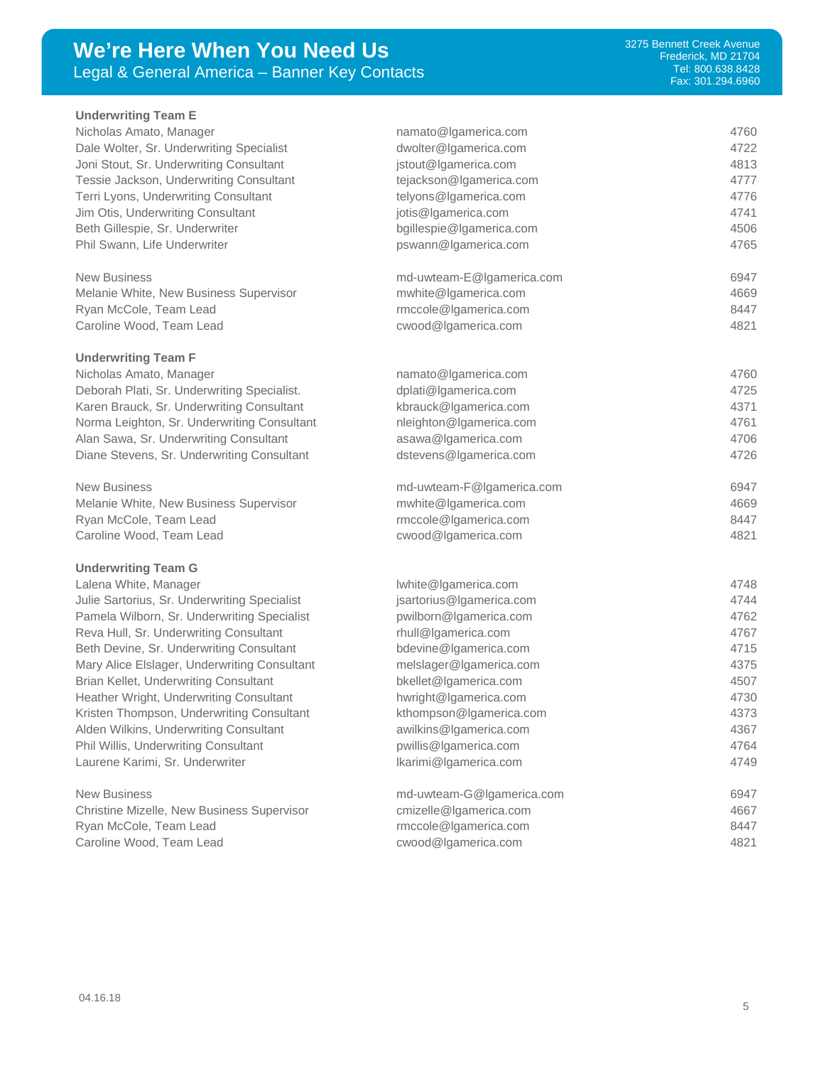# **We're Here When You Need Us** Legal & General America – Banner Key Contacts

| <b>Underwriting Team E</b>                   |                           |      |
|----------------------------------------------|---------------------------|------|
| Nicholas Amato, Manager                      | namato@lgamerica.com      | 4760 |
| Dale Wolter, Sr. Underwriting Specialist     | dwolter@lgamerica.com     | 4722 |
| Joni Stout, Sr. Underwriting Consultant      | jstout@lgamerica.com      | 4813 |
| Tessie Jackson, Underwriting Consultant      | tejackson@lgamerica.com   | 4777 |
| Terri Lyons, Underwriting Consultant         | telyons@lgamerica.com     | 4776 |
| Jim Otis, Underwriting Consultant            | jotis@Igamerica.com       | 4741 |
| Beth Gillespie, Sr. Underwriter              | bgillespie@lgamerica.com  | 4506 |
| Phil Swann, Life Underwriter                 | pswann@lgamerica.com      | 4765 |
| <b>New Business</b>                          | md-uwteam-E@Igamerica.com | 6947 |
| Melanie White, New Business Supervisor       | mwhite@lgamerica.com      | 4669 |
| Ryan McCole, Team Lead                       | rmccole@lgamerica.com     | 8447 |
| Caroline Wood, Team Lead                     | cwood@lgamerica.com       | 4821 |
| <b>Underwriting Team F</b>                   |                           |      |
| Nicholas Amato, Manager                      | namato@lgamerica.com      | 4760 |
| Deborah Plati, Sr. Underwriting Specialist.  | dplati@lgamerica.com      | 4725 |
| Karen Brauck, Sr. Underwriting Consultant    | kbrauck@lgamerica.com     | 4371 |
| Norma Leighton, Sr. Underwriting Consultant  | nleighton@lgamerica.com   | 4761 |
| Alan Sawa, Sr. Underwriting Consultant       | asawa@lgamerica.com       | 4706 |
| Diane Stevens, Sr. Underwriting Consultant   | dstevens@lgamerica.com    | 4726 |
| <b>New Business</b>                          | md-uwteam-F@lgamerica.com | 6947 |
| Melanie White, New Business Supervisor       | mwhite@lgamerica.com      | 4669 |
| Ryan McCole, Team Lead                       | rmccole@lgamerica.com     | 8447 |
| Caroline Wood, Team Lead                     | cwood@lgamerica.com       | 4821 |
| <b>Underwriting Team G</b>                   |                           |      |
| Lalena White, Manager                        | Iwhite@Igamerica.com      | 4748 |
| Julie Sartorius, Sr. Underwriting Specialist | jsartorius@lgamerica.com  | 4744 |
| Pamela Wilborn, Sr. Underwriting Specialist  | pwilborn@Igamerica.com    | 4762 |
| Reva Hull, Sr. Underwriting Consultant       | rhull@lgamerica.com       | 4767 |
| Beth Devine, Sr. Underwriting Consultant     | bdevine@Igamerica.com     | 4715 |
| Mary Alice Elslager, Underwriting Consultant | melslager@lgamerica.com   | 4375 |
| Brian Kellet, Underwriting Consultant        | bkellet@lgamerica.com     | 4507 |
| Heather Wright, Underwriting Consultant      | hwright@lgamerica.com     | 4730 |
| Kristen Thompson, Underwriting Consultant    | kthompson@Igamerica.com   | 4373 |
| Alden Wilkins, Underwriting Consultant       | awilkins@lgamerica.com    | 4367 |
| Phil Willis, Underwriting Consultant         | pwillis@Igamerica.com     | 4764 |
| Laurene Karimi, Sr. Underwriter              | Ikarimi@Igamerica.com     | 4749 |
| <b>New Business</b>                          | md-uwteam-G@lgamerica.com | 6947 |
| Christine Mizelle, New Business Supervisor   | cmizelle@lgamerica.com    | 4667 |
| Ryan McCole, Team Lead                       | rmccole@lgamerica.com     | 8447 |

Caroline Wood, Team Lead extending the [cwood@lgamerica.com](mailto:cwood@lgamerica.com) 4821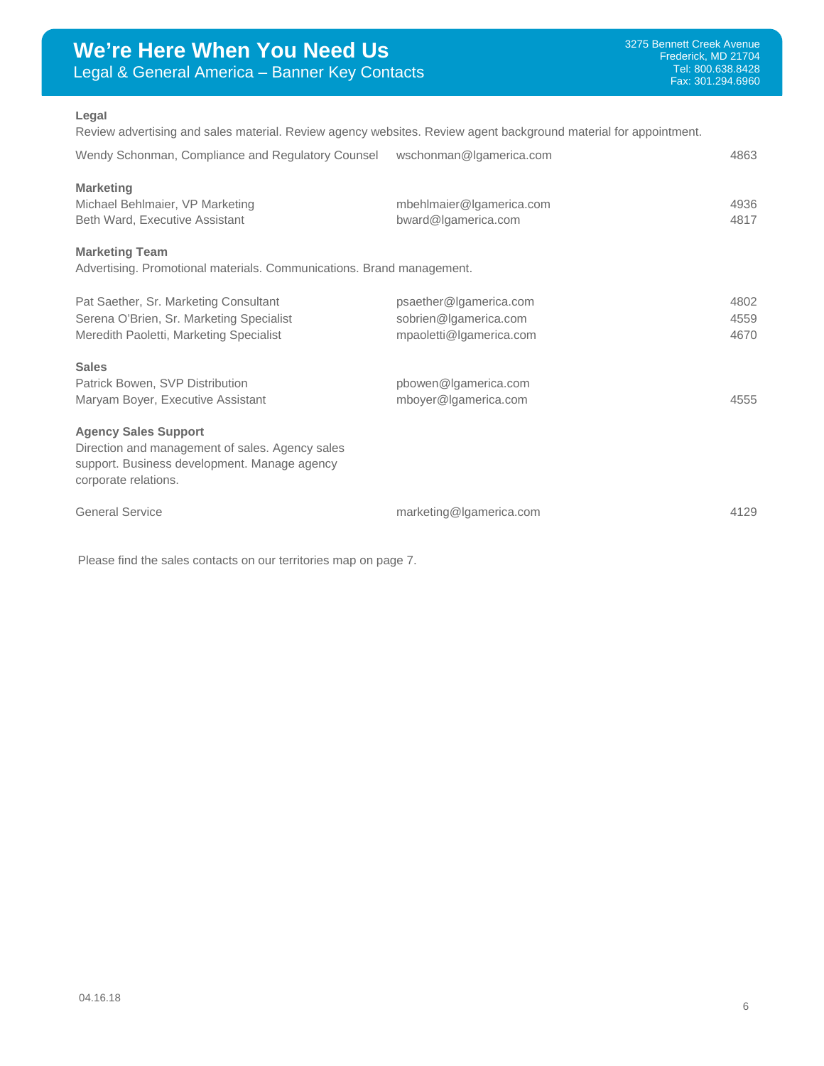## **Legal**

Review advertising and sales material. Review agency websites. Review agent background material for appointment.

| Wendy Schonman, Compliance and Regulatory Counsel wschonman@Igamerica.com                                                                              |                                                                            | 4863                 |
|--------------------------------------------------------------------------------------------------------------------------------------------------------|----------------------------------------------------------------------------|----------------------|
| <b>Marketing</b><br>Michael Behlmaier, VP Marketing<br>Beth Ward, Executive Assistant                                                                  | mbehlmaier@lgamerica.com<br>bward@lgamerica.com                            | 4936<br>4817         |
| <b>Marketing Team</b><br>Advertising. Promotional materials. Communications. Brand management.                                                         |                                                                            |                      |
| Pat Saether, Sr. Marketing Consultant<br>Serena O'Brien, Sr. Marketing Specialist<br>Meredith Paoletti, Marketing Specialist                           | psaether@Igamerica.com<br>sobrien@Igamerica.com<br>mpaoletti@lgamerica.com | 4802<br>4559<br>4670 |
| <b>Sales</b><br>Patrick Bowen, SVP Distribution<br>Maryam Boyer, Executive Assistant                                                                   | pbowen@Igamerica.com<br>mboyer@Igamerica.com                               | 4555                 |
| <b>Agency Sales Support</b><br>Direction and management of sales. Agency sales<br>support. Business development. Manage agency<br>corporate relations. |                                                                            |                      |
| <b>General Service</b>                                                                                                                                 | marketing@lgamerica.com                                                    | 4129                 |

Please find the sales contacts on our territories map on page 7.